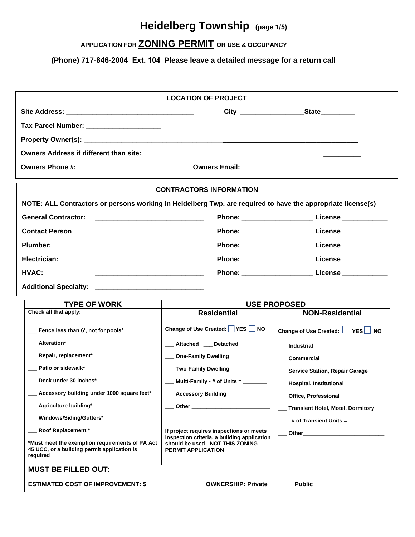## **Heidelberg Township (page 1/5)**

### **APPLICATION FOR ZONING PERMIT OR USE & OCCUPANCY**

**(Phone) 717-846-2004 Ext. 104 Please leave a detailed message for a return call**

| <b>LOCATION OF PROJECT</b>                                                                                                       |                                                                                                                                                   |                                                                                                               |  |  |  |  |  |  |  |  |  |  |
|----------------------------------------------------------------------------------------------------------------------------------|---------------------------------------------------------------------------------------------------------------------------------------------------|---------------------------------------------------------------------------------------------------------------|--|--|--|--|--|--|--|--|--|--|
|                                                                                                                                  |                                                                                                                                                   |                                                                                                               |  |  |  |  |  |  |  |  |  |  |
|                                                                                                                                  |                                                                                                                                                   |                                                                                                               |  |  |  |  |  |  |  |  |  |  |
|                                                                                                                                  |                                                                                                                                                   |                                                                                                               |  |  |  |  |  |  |  |  |  |  |
|                                                                                                                                  |                                                                                                                                                   |                                                                                                               |  |  |  |  |  |  |  |  |  |  |
|                                                                                                                                  |                                                                                                                                                   |                                                                                                               |  |  |  |  |  |  |  |  |  |  |
| <b>CONTRACTORS INFORMATION</b>                                                                                                   |                                                                                                                                                   |                                                                                                               |  |  |  |  |  |  |  |  |  |  |
| NOTE: ALL Contractors or persons working in Heidelberg Twp. are required to have the appropriate license(s)                      |                                                                                                                                                   |                                                                                                               |  |  |  |  |  |  |  |  |  |  |
| <b>General Contractor:</b>                                                                                                       |                                                                                                                                                   | Phone: ________________________________License _________________________________                              |  |  |  |  |  |  |  |  |  |  |
| <b>Contact Person</b>                                                                                                            |                                                                                                                                                   | Phone: _______________________________ License ________________                                               |  |  |  |  |  |  |  |  |  |  |
| Plumber:                                                                                                                         |                                                                                                                                                   | Phone: _____________________________ License _______________                                                  |  |  |  |  |  |  |  |  |  |  |
| Electrician:                                                                                                                     |                                                                                                                                                   | Phone: ___________________________ License ______________                                                     |  |  |  |  |  |  |  |  |  |  |
| HVAC:<br><u> 2000 - Andrea Andrew Maria (h. 1888).</u>                                                                           |                                                                                                                                                   |                                                                                                               |  |  |  |  |  |  |  |  |  |  |
| <b>Additional Specialty:</b>                                                                                                     |                                                                                                                                                   |                                                                                                               |  |  |  |  |  |  |  |  |  |  |
| <b>TYPE OF WORK</b>                                                                                                              | <b>USE PROPOSED</b>                                                                                                                               |                                                                                                               |  |  |  |  |  |  |  |  |  |  |
| Check all that apply:                                                                                                            | <b>Residential</b>                                                                                                                                | <b>NON-Residential</b>                                                                                        |  |  |  |  |  |  |  |  |  |  |
| Fence less than 6', not for pools*                                                                                               | Change of Use Created: YES NO                                                                                                                     | Change of Use Created: U YES NO                                                                               |  |  |  |  |  |  |  |  |  |  |
| __ Alteration*                                                                                                                   | __ Attached __ Detached                                                                                                                           | Industrial                                                                                                    |  |  |  |  |  |  |  |  |  |  |
| __ Repair, replacement*                                                                                                          | __ One-Family Dwelling                                                                                                                            | ___ Commercial                                                                                                |  |  |  |  |  |  |  |  |  |  |
| __ Patio or sidewalk*                                                                                                            | __ Two-Family Dwelling                                                                                                                            | __ Service Station, Repair Garage                                                                             |  |  |  |  |  |  |  |  |  |  |
| Deck under 30 inches*                                                                                                            | $\frac{1}{2}$ Multi-Family - # of Units = $\frac{1}{2}$                                                                                           | - Hospital, Institutional                                                                                     |  |  |  |  |  |  |  |  |  |  |
| Accessory building under 1000 square feet*                                                                                       | <b>Accessory Building</b>                                                                                                                         | __ Office, Professional                                                                                       |  |  |  |  |  |  |  |  |  |  |
| Agriculture building*                                                                                                            | ____ Other _______________________________                                                                                                        | __ Transient Hotel, Motel, Dormitory                                                                          |  |  |  |  |  |  |  |  |  |  |
| Windows/Siding/Gutters*                                                                                                          |                                                                                                                                                   | # of Transient Units =                                                                                        |  |  |  |  |  |  |  |  |  |  |
|                                                                                                                                  |                                                                                                                                                   |                                                                                                               |  |  |  |  |  |  |  |  |  |  |
| Roof Replacement *<br>*Must meet the exemption requirements of PA Act<br>45 UCC, or a building permit application is<br>required | If project requires inspections or meets<br>inspection criteria, a building application<br>should be used - NOT THIS ZONING<br>PERMIT APPLICATION | Other and the contract of the contract of the contract of the contract of the contract of the contract of the |  |  |  |  |  |  |  |  |  |  |
| <b>MUST BE FILLED OUT:</b>                                                                                                       |                                                                                                                                                   |                                                                                                               |  |  |  |  |  |  |  |  |  |  |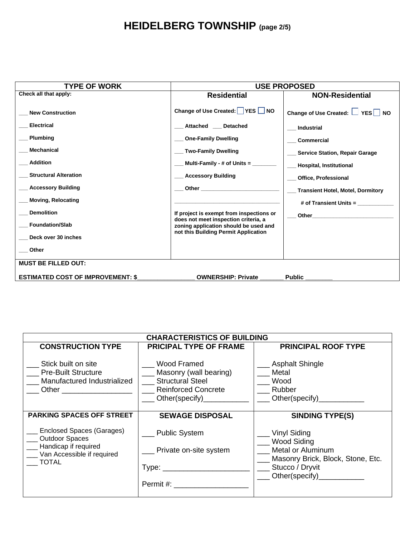# **HEIDELBERG TOWNSHIP (page 2/5)**

| <b>TYPE OF WORK</b>                                                                                                              | <b>USE PROPOSED</b>                                                                                                                                                                                 |                                                                                                                                                                                                                                |  |  |  |  |  |  |  |  |
|----------------------------------------------------------------------------------------------------------------------------------|-----------------------------------------------------------------------------------------------------------------------------------------------------------------------------------------------------|--------------------------------------------------------------------------------------------------------------------------------------------------------------------------------------------------------------------------------|--|--|--|--|--|--|--|--|
| Check all that apply:                                                                                                            | <b>Residential</b>                                                                                                                                                                                  | <b>NON-Residential</b>                                                                                                                                                                                                         |  |  |  |  |  |  |  |  |
| <b>New Construction</b><br><b>Electrical</b><br><b>Plumbing</b><br>Mechanical<br><b>Addition</b><br><b>Structural Alteration</b> | Change of Use Created: YES NO<br>Attached Detached<br><b>One-Family Dwelling</b><br><b>Two-Family Dwelling</b><br>Multi-Family - # of Units = $\overline{\phantom{a}}$<br><b>Accessory Building</b> | Change of Use Created: $\Box$ YES $\Box$ NO<br><b>Industrial</b><br><b>Commercial</b><br><b>Service Station, Repair Garage</b><br>Hospital, Institutional<br><b>Office, Professional</b>                                       |  |  |  |  |  |  |  |  |
| <b>Accessory Building</b>                                                                                                        | <b>Other Community Community Community Community Community Community Community</b>                                                                                                                  | <b>Transient Hotel, Motel, Dormitory</b>                                                                                                                                                                                       |  |  |  |  |  |  |  |  |
| <b>Moving, Relocating</b>                                                                                                        |                                                                                                                                                                                                     | # of Transient Units =                                                                                                                                                                                                         |  |  |  |  |  |  |  |  |
| <b>Demolition</b>                                                                                                                | If project is exempt from inspections or                                                                                                                                                            | Other the contract of the contract of the contract of the contract of the contract of the contract of the contract of the contract of the contract of the contract of the contract of the contract of the contract of the cont |  |  |  |  |  |  |  |  |
| <b>Foundation/Slab</b>                                                                                                           | does not meet inspection criteria, a<br>zoning application should be used and                                                                                                                       |                                                                                                                                                                                                                                |  |  |  |  |  |  |  |  |
| Deck over 30 inches                                                                                                              | not this Building Permit Application                                                                                                                                                                |                                                                                                                                                                                                                                |  |  |  |  |  |  |  |  |
| Other                                                                                                                            |                                                                                                                                                                                                     |                                                                                                                                                                                                                                |  |  |  |  |  |  |  |  |
| <b>MUST BE FILLED OUT:</b>                                                                                                       |                                                                                                                                                                                                     |                                                                                                                                                                                                                                |  |  |  |  |  |  |  |  |
| <b>ESTIMATED COST OF IMPROVEMENT: \$</b>                                                                                         | <b>OWNERSHIP: Private</b>                                                                                                                                                                           | Public                                                                                                                                                                                                                         |  |  |  |  |  |  |  |  |

|                                                                                                            | <b>CHARACTERISTICS OF BUILDING</b>                                                                                                                                     |                                                                                                                        |
|------------------------------------------------------------------------------------------------------------|------------------------------------------------------------------------------------------------------------------------------------------------------------------------|------------------------------------------------------------------------------------------------------------------------|
| <b>CONSTRUCTION TYPE</b>                                                                                   | <b>PRICIPAL TYPE OF FRAME</b>                                                                                                                                          | <b>PRINCIPAL ROOF TYPE</b>                                                                                             |
| Stick built on site<br><b>Pre-Built Structure</b><br>Manufactured Industrialized                           | Wood Framed<br>Masonry (wall bearing)<br><b>Structural Steel</b><br><b>Reinforced Concrete</b><br>Other(specify)______                                                 | <b>Asphalt Shingle</b><br>Metal<br>Wood<br>Rubber<br>Other(specify)_____________                                       |
| <b>PARKING SPACES OFF STREET</b>                                                                           | <b>SEWAGE DISPOSAL</b>                                                                                                                                                 | <b>SINDING TYPE(S)</b>                                                                                                 |
| Enclosed Spaces (Garages)<br>Outdoor Spaces<br>Handicap if required<br>Van Accessible if required<br>TOTAL | Public System<br>Private on-site system<br>Type: the control of the control of the control of the control of the control of the control of the control of<br>Permit #: | <b>Vinyl Siding</b><br><b>Wood Siding</b><br>Metal or Aluminum<br>Masonry Brick, Block, Stone, Etc.<br>Stucco / Dryvit |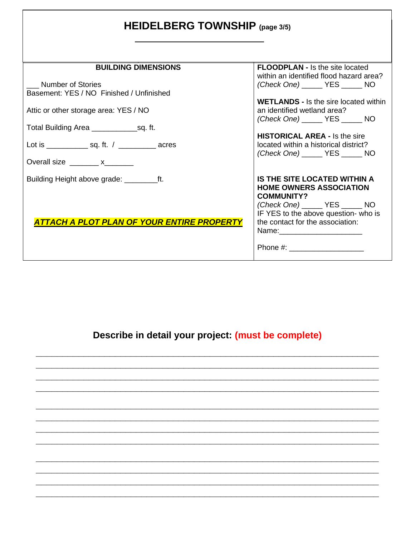|  |  | HEIDELBERG TOWNSHIP (page 3/5) |  |
|--|--|--------------------------------|--|
|--|--|--------------------------------|--|

| <b>BUILDING DIMENSIONS</b>                                                                                                                                                                                                                                                                                                                                                                                                                  | <b>FLOODPLAN - Is the site located</b>       |
|---------------------------------------------------------------------------------------------------------------------------------------------------------------------------------------------------------------------------------------------------------------------------------------------------------------------------------------------------------------------------------------------------------------------------------------------|----------------------------------------------|
|                                                                                                                                                                                                                                                                                                                                                                                                                                             | within an identified flood hazard area?      |
| <b>Number of Stories</b>                                                                                                                                                                                                                                                                                                                                                                                                                    | (Check One) _______ YES ______ NO            |
| Basement: YES / NO Finished / Unfinished                                                                                                                                                                                                                                                                                                                                                                                                    |                                              |
|                                                                                                                                                                                                                                                                                                                                                                                                                                             | <b>WETLANDS</b> - Is the sire located within |
| Attic or other storage area: YES / NO                                                                                                                                                                                                                                                                                                                                                                                                       | an identified wetland area?                  |
|                                                                                                                                                                                                                                                                                                                                                                                                                                             | (Check One) _______ YES ______ NO            |
|                                                                                                                                                                                                                                                                                                                                                                                                                                             |                                              |
|                                                                                                                                                                                                                                                                                                                                                                                                                                             | <b>HISTORICAL AREA - Is the sire</b>         |
| Lot is _________________ sq. ft. / _____________ acres                                                                                                                                                                                                                                                                                                                                                                                      | located within a historical district?        |
|                                                                                                                                                                                                                                                                                                                                                                                                                                             | (Check One) YES NO                           |
| Overall size $\frac{1}{\sqrt{1-\frac{1}{2}}}\times\frac{1}{\sqrt{1-\frac{1}{2}}}\times\frac{1}{\sqrt{1-\frac{1}{2}}}\times\frac{1}{\sqrt{1-\frac{1}{2}}}\times\frac{1}{\sqrt{1-\frac{1}{2}}}\times\frac{1}{\sqrt{1-\frac{1}{2}}}\times\frac{1}{\sqrt{1-\frac{1}{2}}}\times\frac{1}{\sqrt{1-\frac{1}{2}}}\times\frac{1}{\sqrt{1-\frac{1}{2}}}\times\frac{1}{\sqrt{1-\frac{1}{2}}}\times\frac{1}{\sqrt{1-\frac{1}{2}}}\times\frac{1}{\sqrt{1$ |                                              |
|                                                                                                                                                                                                                                                                                                                                                                                                                                             |                                              |
|                                                                                                                                                                                                                                                                                                                                                                                                                                             | IS THE SITE LOCATED WITHIN A                 |
|                                                                                                                                                                                                                                                                                                                                                                                                                                             | <b>HOME OWNERS ASSOCIATION</b>               |
|                                                                                                                                                                                                                                                                                                                                                                                                                                             | <b>COMMUNITY?</b>                            |
|                                                                                                                                                                                                                                                                                                                                                                                                                                             | (Check One) _______ YES ______ NO            |
|                                                                                                                                                                                                                                                                                                                                                                                                                                             | IF YES to the above question- who is         |
| <b>ATTACH A PLOT PLAN OF YOUR ENTIRE PROPERTY</b>                                                                                                                                                                                                                                                                                                                                                                                           | the contact for the association:             |
|                                                                                                                                                                                                                                                                                                                                                                                                                                             |                                              |
|                                                                                                                                                                                                                                                                                                                                                                                                                                             |                                              |
|                                                                                                                                                                                                                                                                                                                                                                                                                                             |                                              |
|                                                                                                                                                                                                                                                                                                                                                                                                                                             |                                              |

# **Describe in detail your project: (must be complete)**

**\_\_\_\_\_\_\_\_\_\_\_\_\_\_\_\_\_\_\_\_\_\_\_\_\_\_\_\_\_\_\_\_\_\_\_\_\_\_\_\_\_\_\_\_\_\_\_\_\_\_\_\_\_\_\_\_\_\_\_\_\_\_\_\_\_ \_\_\_\_\_\_\_\_\_\_\_\_\_\_\_\_\_\_\_\_\_\_\_\_\_\_\_\_\_\_\_\_\_\_\_\_\_\_\_\_\_\_\_\_\_\_\_\_\_\_\_\_\_\_\_\_\_\_\_\_\_\_\_\_\_ \_\_\_\_\_\_\_\_\_\_\_\_\_\_\_\_\_\_\_\_\_\_\_\_\_\_\_\_\_\_\_\_\_\_\_\_\_\_\_\_\_\_\_\_\_\_\_\_\_\_\_\_\_\_\_\_\_\_\_\_\_\_\_\_\_ \_\_\_\_\_\_\_\_\_\_\_\_\_\_\_\_\_\_\_\_\_\_\_\_\_\_\_\_\_\_\_\_\_\_\_\_\_\_\_\_\_\_\_\_\_\_\_\_\_\_\_\_\_\_\_\_\_\_\_\_\_\_\_\_\_**

**\_\_\_\_\_\_\_\_\_\_\_\_\_\_\_\_\_\_\_\_\_\_\_\_\_\_\_\_\_\_\_\_\_\_\_\_\_\_\_\_\_\_\_\_\_\_\_\_\_\_\_\_\_\_\_\_\_\_\_\_\_\_\_\_\_ \_\_\_\_\_\_\_\_\_\_\_\_\_\_\_\_\_\_\_\_\_\_\_\_\_\_\_\_\_\_\_\_\_\_\_\_\_\_\_\_\_\_\_\_\_\_\_\_\_\_\_\_\_\_\_\_\_\_\_\_\_\_\_\_\_ \_\_\_\_\_\_\_\_\_\_\_\_\_\_\_\_\_\_\_\_\_\_\_\_\_\_\_\_\_\_\_\_\_\_\_\_\_\_\_\_\_\_\_\_\_\_\_\_\_\_\_\_\_\_\_\_\_\_\_\_\_\_\_\_\_ \_\_\_\_\_\_\_\_\_\_\_\_\_\_\_\_\_\_\_\_\_\_\_\_\_\_\_\_\_\_\_\_\_\_\_\_\_\_\_\_\_\_\_\_\_\_\_\_\_\_\_\_\_\_\_\_\_\_\_\_\_\_\_\_\_**

**\_\_\_\_\_\_\_\_\_\_\_\_\_\_\_\_\_\_\_\_\_\_\_\_\_\_\_\_\_\_\_\_\_\_\_\_\_\_\_\_\_\_\_\_\_\_\_\_\_\_\_\_\_\_\_\_\_\_\_\_\_\_\_\_\_ \_\_\_\_\_\_\_\_\_\_\_\_\_\_\_\_\_\_\_\_\_\_\_\_\_\_\_\_\_\_\_\_\_\_\_\_\_\_\_\_\_\_\_\_\_\_\_\_\_\_\_\_\_\_\_\_\_\_\_\_\_\_\_\_\_ \_\_\_\_\_\_\_\_\_\_\_\_\_\_\_\_\_\_\_\_\_\_\_\_\_\_\_\_\_\_\_\_\_\_\_\_\_\_\_\_\_\_\_\_\_\_\_\_\_\_\_\_\_\_\_\_\_\_\_\_\_\_\_\_\_ \_\_\_\_\_\_\_\_\_\_\_\_\_\_\_\_\_\_\_\_\_\_\_\_\_\_\_\_\_\_\_\_\_\_\_\_\_\_\_\_\_\_\_\_\_\_\_\_\_\_\_\_\_\_\_\_\_\_\_\_\_\_\_\_\_**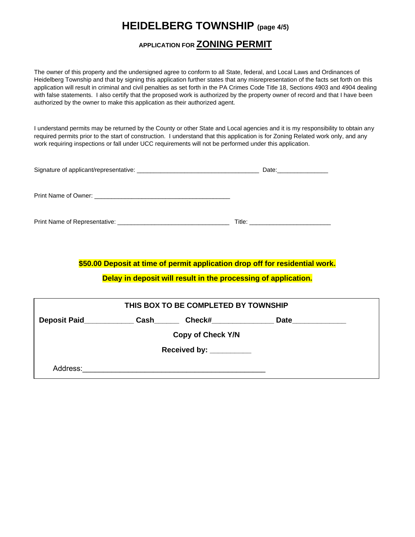## **HEIDELBERG TOWNSHIP (page 4/5)**

#### **APPLICATION FOR ZONING PERMIT**

The owner of this property and the undersigned agree to conform to all State, federal, and Local Laws and Ordinances of Heidelberg Township and that by signing this application further states that any misrepresentation of the facts set forth on this application will result in criminal and civil penalties as set forth in the PA Crimes Code Title 18, Sections 4903 and 4904 dealing with false statements. I also certify that the proposed work is authorized by the property owner of record and that I have been authorized by the owner to make this application as their authorized agent.

I understand permits may be returned by the County or other State and Local agencies and it is my responsibility to obtain any required permits prior to the start of construction. I understand that this application is for Zoning Related work only, and any work requiring inspections or fall under UCC requirements will not be performed under this application.

| Date: $\qquad \qquad$ |
|-----------------------|
|                       |
|                       |
|                       |

**\$50.00 Deposit at time of permit application drop off for residential work.** 

**Delay in deposit will result in the processing of application.**

| THIS BOX TO BE COMPLETED BY TOWNSHIP          |  |  |  |  |  |  |  |  |  |  |  |
|-----------------------------------------------|--|--|--|--|--|--|--|--|--|--|--|
| <b>Deposit Paid</b><br>Check#<br>Cash<br>Date |  |  |  |  |  |  |  |  |  |  |  |
| <b>Copy of Check Y/N</b>                      |  |  |  |  |  |  |  |  |  |  |  |
| Received by: ___________                      |  |  |  |  |  |  |  |  |  |  |  |
| Address:                                      |  |  |  |  |  |  |  |  |  |  |  |